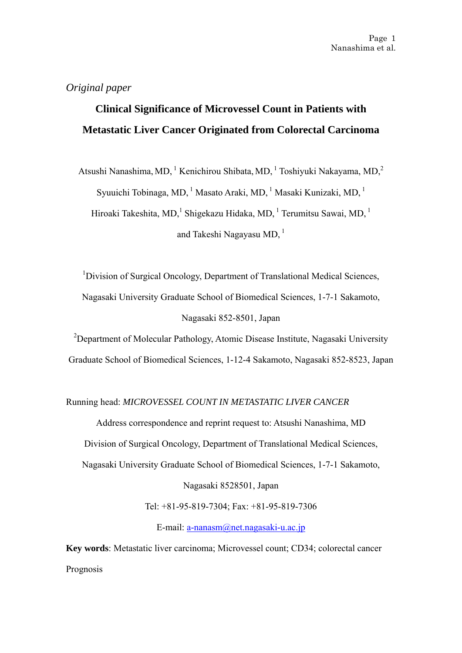# *Original paper*

# **Clinical Significance of Microvessel Count in Patients with Metastatic Liver Cancer Originated from Colorectal Carcinoma**

Atsushi Nanashima, MD, <sup>1</sup> Kenichirou Shibata, MD, <sup>1</sup> Toshiyuki Nakayama, MD, <sup>2</sup> Syuuichi Tobinaga, MD, <sup>1</sup> Masato Araki, MD, <sup>1</sup> Masaki Kunizaki, MD, <sup>1</sup> Hiroaki Takeshita, MD,<sup>1</sup> Shigekazu Hidaka, MD,<sup>1</sup> Terumitsu Sawai, MD,<sup>1</sup> and Takeshi Nagayasu MD,  $1$ 

<sup>1</sup>Division of Surgical Oncology, Department of Translational Medical Sciences, Nagasaki University Graduate School of Biomedical Sciences, 1-7-1 Sakamoto, Nagasaki 852-8501, Japan

<sup>2</sup>Department of Molecular Pathology, Atomic Disease Institute, Nagasaki University Graduate School of Biomedical Sciences, 1-12-4 Sakamoto, Nagasaki 852-8523, Japan

# Running head: *MICROVESSEL COUNT IN METASTATIC LIVER CANCER*

Address correspondence and reprint request to: Atsushi Nanashima, MD

Division of Surgical Oncology, Department of Translational Medical Sciences,

Nagasaki University Graduate School of Biomedical Sciences, 1-7-1 Sakamoto,

Nagasaki 8528501, Japan

Tel: +81-95-819-7304; Fax: +81-95-819-7306

E-mail: [a-nanasm@net.nagasaki-u.ac.jp](mailto:a-nanasm@net.nagasaki-u.ac.jp)

**Key words**: Metastatic liver carcinoma; Microvessel count; CD34; colorectal cancer Prognosis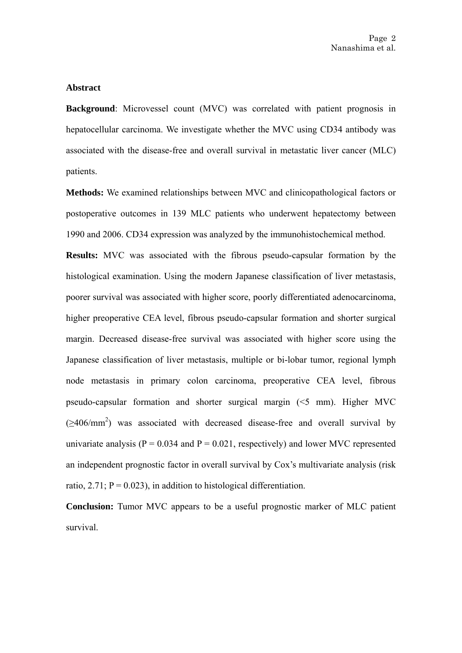## **Abstract**

**Background**: Microvessel count (MVC) was correlated with patient prognosis in hepatocellular carcinoma. We investigate whether the MVC using CD34 antibody was associated with the disease-free and overall survival in metastatic liver cancer (MLC) patients.

**Methods:** We examined relationships between MVC and clinicopathological factors or postoperative outcomes in 139 MLC patients who underwent hepatectomy between 1990 and 2006. CD34 expression was analyzed by the immunohistochemical method.

**Results:** MVC was associated with the fibrous pseudo-capsular formation by the histological examination. Using the modern Japanese classification of liver metastasis, poorer survival was associated with higher score, poorly differentiated adenocarcinoma, higher preoperative CEA level, fibrous pseudo-capsular formation and shorter surgical margin. Decreased disease-free survival was associated with higher score using the Japanese classification of liver metastasis, multiple or bi-lobar tumor, regional lymph node metastasis in primary colon carcinoma, preoperative CEA level, fibrous pseudo-capsular formation and shorter surgical margin (<5 mm). Higher MVC  $(\geq 406/\text{mm}^2)$  was associated with decreased disease-free and overall survival by univariate analysis ( $P = 0.034$  and  $P = 0.021$ , respectively) and lower MVC represented an independent prognostic factor in overall survival by Cox's multivariate analysis (risk ratio,  $2.71$ ;  $P = 0.023$ ), in addition to histological differentiation.

**Conclusion:** Tumor MVC appears to be a useful prognostic marker of MLC patient survival.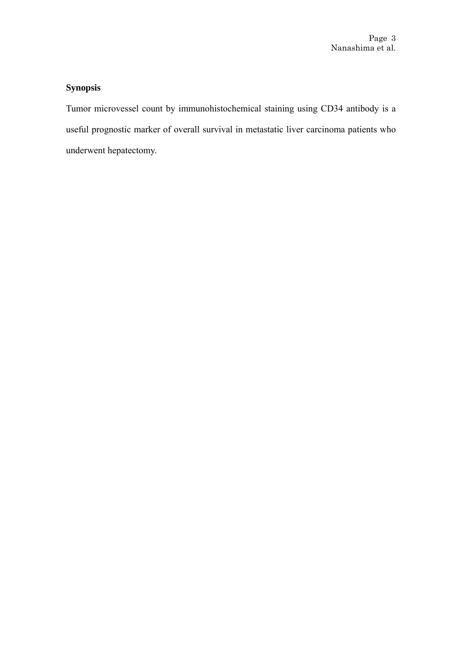# **Synopsis**

Tumor microvessel count by immunohistochemical staining using CD34 antibody is a useful prognostic marker of overall survival in metastatic liver carcinoma patients who underwent hepatectomy.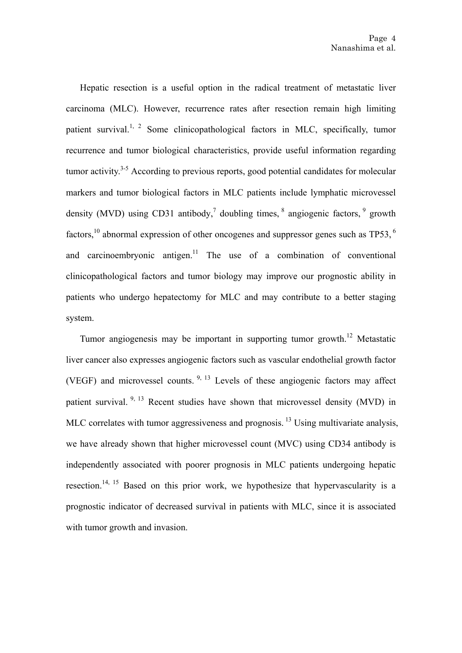Hepatic resection is a useful option in the radical treatment of metastatic liver carcinoma (MLC). However, recurrence rates after resection remain high limiting patient survival.<sup>1, 2</sup> Some clinicopathological factors in MLC, specifically, tumor recurrence and tumor biological characteristics, provide useful information regarding tumor activity.<sup>3-5</sup> According to previous reports, good potential candidates for molecular markers and tumor biological factors in MLC patients include lymphatic microvessel density (MVD) using CD31 antibody,<sup>7</sup> doubling times,  $\frac{8}{3}$  angiogenic factors,  $\frac{9}{3}$  growth factors,<sup>10</sup> abnormal expression of other oncogenes and suppressor genes such as  $TP53$ ,  $^6$ and carcinoembryonic antigen.<sup>11</sup> The use of a combination of conventional clinicopathological factors and tumor biology may improve our prognostic ability in patients who undergo hepatectomy for MLC and may contribute to a better staging system.

Tumor angiogenesis may be important in supporting tumor growth.<sup>12</sup> Metastatic liver cancer also expresses angiogenic factors such as vascular endothelial growth factor (VEGF) and microvessel counts.  $9, 13$  Levels of these angiogenic factors may affect patient survival.  $9, 13$  Recent studies have shown that microvessel density (MVD) in MLC correlates with tumor aggressiveness and prognosis.<sup>13</sup> Using multivariate analysis, we have already shown that higher microvessel count (MVC) using CD34 antibody is independently associated with poorer prognosis in MLC patients undergoing hepatic resection.<sup>14, 15</sup> Based on this prior work, we hypothesize that hypervascularity is a prognostic indicator of decreased survival in patients with MLC, since it is associated with tumor growth and invasion.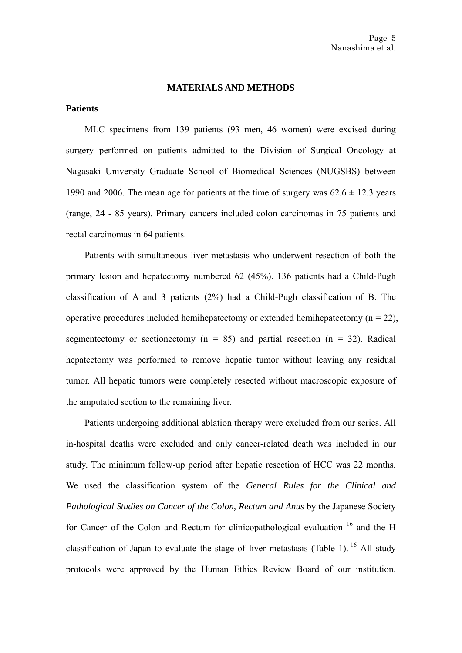#### **MATERIALS AND METHODS**

## **Patients**

MLC specimens from 139 patients (93 men, 46 women) were excised during surgery performed on patients admitted to the Division of Surgical Oncology at Nagasaki University Graduate School of Biomedical Sciences (NUGSBS) between 1990 and 2006. The mean age for patients at the time of surgery was  $62.6 \pm 12.3$  years (range, 24 - 85 years). Primary cancers included colon carcinomas in 75 patients and rectal carcinomas in 64 patients.

Patients with simultaneous liver metastasis who underwent resection of both the primary lesion and hepatectomy numbered 62 (45%). 136 patients had a Child-Pugh classification of A and 3 patients (2%) had a Child-Pugh classification of B. The operative procedures included hemihepatectomy or extended hemihepatectomy  $(n = 22)$ , segmentectomy or sectionectomy ( $n = 85$ ) and partial resection ( $n = 32$ ). Radical hepatectomy was performed to remove hepatic tumor without leaving any residual tumor. All hepatic tumors were completely resected without macroscopic exposure of the amputated section to the remaining liver.

Patients undergoing additional ablation therapy were excluded from our series. All in-hospital deaths were excluded and only cancer-related death was included in our study. The minimum follow-up period after hepatic resection of HCC was 22 months. We used the classification system of the *General Rules for the Clinical and Pathological Studies on Cancer of the Colon, Rectum and Anus* by the Japanese Society for Cancer of the Colon and Rectum for clinicopathological evaluation  $16$  and the H classification of Japan to evaluate the stage of liver metastasis (Table 1). <sup>16</sup> All study protocols were approved by the Human Ethics Review Board of our institution.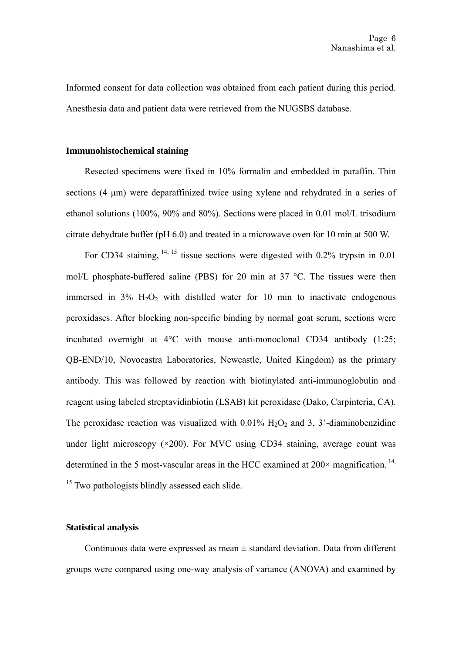Informed consent for data collection was obtained from each patient during this period. Anesthesia data and patient data were retrieved from the NUGSBS database.

#### **Immunohistochemical staining**

Resected specimens were fixed in 10% formalin and embedded in paraffin. Thin sections (4 μm) were deparaffinized twice using xylene and rehydrated in a series of ethanol solutions (100%, 90% and 80%). Sections were placed in 0.01 mol/L trisodium citrate dehydrate buffer (pH 6.0) and treated in a microwave oven for 10 min at 500 W.

For CD34 staining,  $14, 15$  tissue sections were digested with 0.2% trypsin in 0.01 mol/L phosphate-buffered saline (PBS) for 20 min at 37 °C. The tissues were then immersed in  $3\%$  H<sub>2</sub>O<sub>2</sub> with distilled water for 10 min to inactivate endogenous peroxidases. After blocking non-specific binding by normal goat serum, sections were incubated overnight at 4°C with mouse anti-monoclonal CD34 antibody (1:25; QB-END/10, Novocastra Laboratories, Newcastle, United Kingdom) as the primary antibody. This was followed by reaction with biotinylated anti-immunoglobulin and reagent using labeled streptavidinbiotin (LSAB) kit peroxidase (Dako, Carpinteria, CA). The peroxidase reaction was visualized with  $0.01\%$  H<sub>2</sub>O<sub>2</sub> and 3, 3<sup>2</sup>-diaminobenzidine under light microscopy  $(\times 200)$ . For MVC using CD34 staining, average count was determined in the 5 most-vascular areas in the HCC examined at  $200 \times$  magnification.<sup>14,</sup>  $15$  Two pathologists blindly assessed each slide.

# **Statistical analysis**

Continuous data were expressed as mean  $\pm$  standard deviation. Data from different groups were compared using one-way analysis of variance (ANOVA) and examined by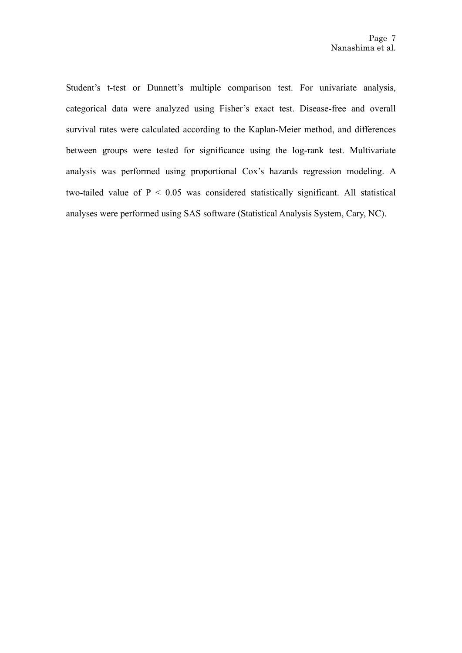Student's t-test or Dunnett's multiple comparison test. For univariate analysis, categorical data were analyzed using Fisher's exact test. Disease-free and overall survival rates were calculated according to the Kaplan-Meier method, and differences between groups were tested for significance using the log-rank test. Multivariate analysis was performed using proportional Cox's hazards regression modeling. A two-tailed value of  $P < 0.05$  was considered statistically significant. All statistical analyses were performed using SAS software (Statistical Analysis System, Cary, NC).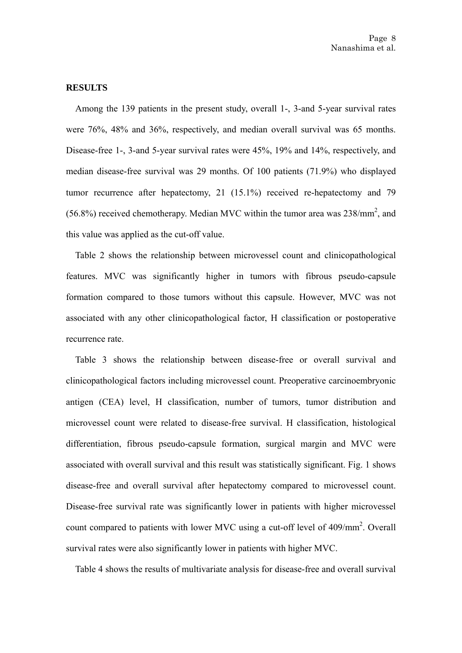#### **RESULTS**

Among the 139 patients in the present study, overall 1-, 3-and 5-year survival rates were 76%, 48% and 36%, respectively, and median overall survival was 65 months. Disease-free 1-, 3-and 5-year survival rates were 45%, 19% and 14%, respectively, and median disease-free survival was 29 months. Of 100 patients (71.9%) who displayed tumor recurrence after hepatectomy, 21 (15.1%) received re-hepatectomy and 79  $(56.8%)$  received chemotherapy. Median MVC within the tumor area was  $238/mm^2$ , and this value was applied as the cut-off value.

Table 2 shows the relationship between microvessel count and clinicopathological features. MVC was significantly higher in tumors with fibrous pseudo-capsule formation compared to those tumors without this capsule. However, MVC was not associated with any other clinicopathological factor, H classification or postoperative recurrence rate

Table 3 shows the relationship between disease-free or overall survival and clinicopathological factors including microvessel count. Preoperative carcinoembryonic antigen (CEA) level, H classification, number of tumors, tumor distribution and microvessel count were related to disease-free survival. H classification, histological differentiation, fibrous pseudo-capsule formation, surgical margin and MVC were associated with overall survival and this result was statistically significant. Fig. 1 shows disease-free and overall survival after hepatectomy compared to microvessel count. Disease-free survival rate was significantly lower in patients with higher microvessel count compared to patients with lower MVC using a cut-off level of  $409/\text{mm}^2$ . Overall survival rates were also significantly lower in patients with higher MVC.

Table 4 shows the results of multivariate analysis for disease-free and overall survival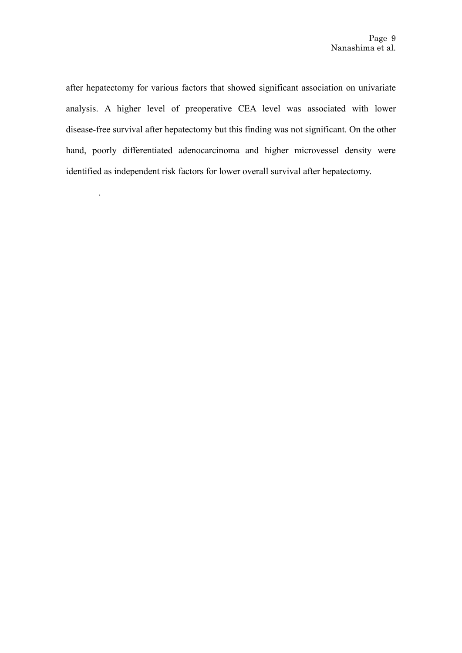after hepatectomy for various factors that showed significant association on univariate analysis. A higher level of preoperative CEA level was associated with lower disease-free survival after hepatectomy but this finding was not significant. On the other hand, poorly differentiated adenocarcinoma and higher microvessel density were identified as independent risk factors for lower overall survival after hepatectomy.

.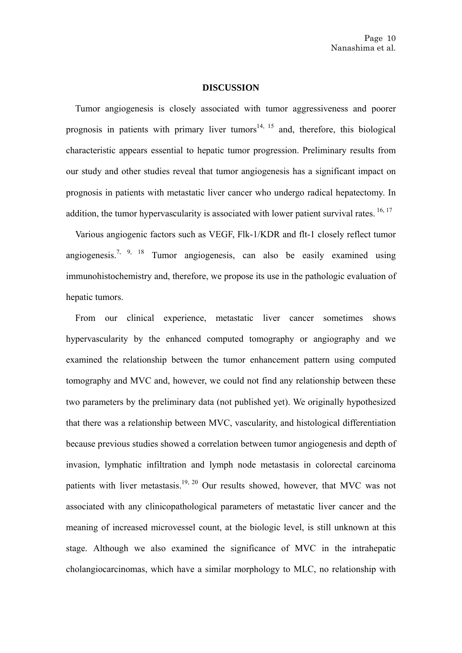#### **DISCUSSION**

Tumor angiogenesis is closely associated with tumor aggressiveness and poorer prognosis in patients with primary liver tumors<sup>14, 15</sup> and, therefore, this biological characteristic appears essential to hepatic tumor progression. Preliminary results from our study and other studies reveal that tumor angiogenesis has a significant impact on prognosis in patients with metastatic liver cancer who undergo radical hepatectomy. In addition, the tumor hypervascularity is associated with lower patient survival rates.  $16, 17$ 

Various angiogenic factors such as VEGF, Flk-1/KDR and flt-1 closely reflect tumor angiogenesis.<sup>7, 9, 18</sup> Tumor angiogenesis, can also be easily examined using immunohistochemistry and, therefore, we propose its use in the pathologic evaluation of hepatic tumors.

From our clinical experience, metastatic liver cancer sometimes shows hypervascularity by the enhanced computed tomography or angiography and we examined the relationship between the tumor enhancement pattern using computed tomography and MVC and, however, we could not find any relationship between these two parameters by the preliminary data (not published yet). We originally hypothesized that there was a relationship between MVC, vascularity, and histological differentiation because previous studies showed a correlation between tumor angiogenesis and depth of invasion, lymphatic infiltration and lymph node metastasis in colorectal carcinoma patients with liver metastasis.<sup>19, 20</sup> Our results showed, however, that MVC was not associated with any clinicopathological parameters of metastatic liver cancer and the meaning of increased microvessel count, at the biologic level, is still unknown at this stage. Although we also examined the significance of MVC in the intrahepatic cholangiocarcinomas, which have a similar morphology to MLC, no relationship with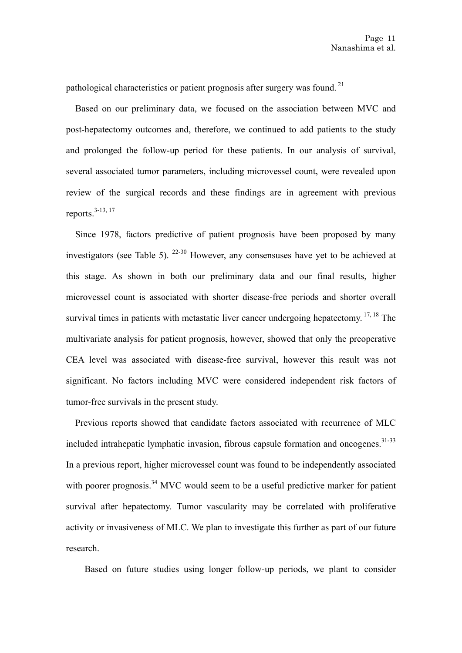pathological characteristics or patient prognosis after surgery was found. 21

Based on our preliminary data, we focused on the association between MVC and post-hepatectomy outcomes and, therefore, we continued to add patients to the study and prolonged the follow-up period for these patients. In our analysis of survival, several associated tumor parameters, including microvessel count, were revealed upon review of the surgical records and these findings are in agreement with previous reports. $3-13$ , 17

Since 1978, factors predictive of patient prognosis have been proposed by many investigators (see Table 5). 22-30 However, any consensuses have yet to be achieved at this stage. As shown in both our preliminary data and our final results, higher microvessel count is associated with shorter disease-free periods and shorter overall survival times in patients with metastatic liver cancer undergoing hepatectomy. <sup>17, 18</sup> The multivariate analysis for patient prognosis, however, showed that only the preoperative CEA level was associated with disease-free survival, however this result was not significant. No factors including MVC were considered independent risk factors of tumor-free survivals in the present study.

Previous reports showed that candidate factors associated with recurrence of MLC included intrahepatic lymphatic invasion, fibrous capsule formation and oncogenes.<sup>31-33</sup> In a previous report, higher microvessel count was found to be independently associated with poorer prognosis.<sup>34</sup> MVC would seem to be a useful predictive marker for patient survival after hepatectomy. Tumor vascularity may be correlated with proliferative activity or invasiveness of MLC. We plan to investigate this further as part of our future research.

Based on future studies using longer follow-up periods, we plant to consider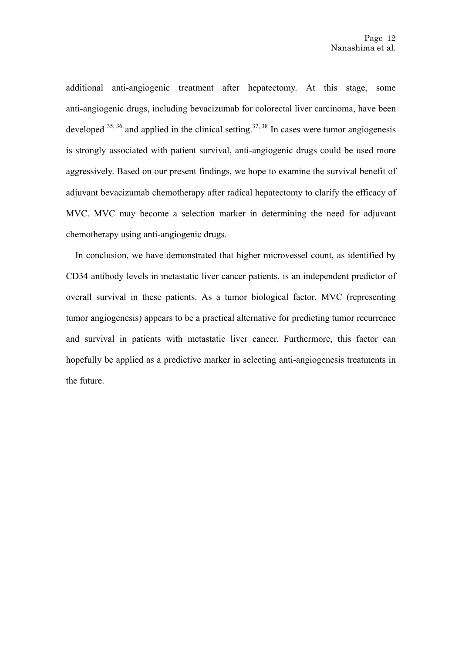additional anti-angiogenic treatment after hepatectomy. At this stage, some anti-angiogenic drugs, including bevacizumab for colorectal liver carcinoma, have been developed  $35,36$  and applied in the clinical setting.<sup>37, 38</sup> In cases were tumor angiogenesis is strongly associated with patient survival, anti-angiogenic drugs could be used more aggressively. Based on our present findings, we hope to examine the survival benefit of adjuvant bevacizumab chemotherapy after radical hepatectomy to clarify the efficacy of MVC. MVC may become a selection marker in determining the need for adjuvant chemotherapy using anti-angiogenic drugs.

In conclusion, we have demonstrated that higher microvessel count, as identified by CD34 antibody levels in metastatic liver cancer patients, is an independent predictor of overall survival in these patients. As a tumor biological factor, MVC (representing tumor angiogenesis) appears to be a practical alternative for predicting tumor recurrence and survival in patients with metastatic liver cancer. Furthermore, this factor can hopefully be applied as a predictive marker in selecting anti-angiogenesis treatments in the future.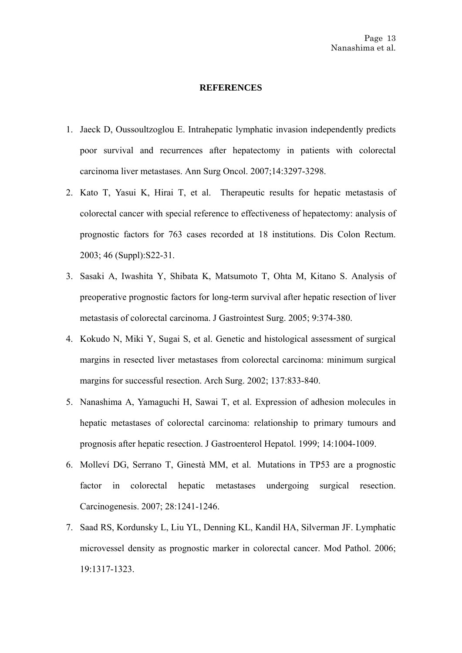#### **REFERENCES**

- 1. [Jaeck D](http://www.ncbi.nlm.nih.gov/sites/entrez?Db=pubmed&Cmd=Search&Term=%22Jaeck%20D%22%5BAuthor%5D&itool=EntrezSystem2.PEntrez.Pubmed.Pubmed_ResultsPanel.Pubmed_DiscoveryPanel.Pubmed_RVAbstractPlus), [Oussoultzoglou E.](http://www.ncbi.nlm.nih.gov/sites/entrez?Db=pubmed&Cmd=Search&Term=%22Oussoultzoglou%20E%22%5BAuthor%5D&itool=EntrezSystem2.PEntrez.Pubmed.Pubmed_ResultsPanel.Pubmed_DiscoveryPanel.Pubmed_RVAbstractPlus) Intrahepatic lymphatic invasion independently predicts poor survival and recurrences after hepatectomy in patients with colorectal carcinoma liver metastases. [Ann Surg Oncol.](javascript:AL_get(this,%20) 2007;14:3297-3298.
- 2. [Kato T,](http://www.ncbi.nlm.nih.gov/sites/entrez?Db=pubmed&Cmd=Search&Term=%22Kato%20T%22%5BAuthor%5D&itool=EntrezSystem2.PEntrez.Pubmed.Pubmed_ResultsPanel.Pubmed_DiscoveryPanel.Pubmed_RVAbstractPlus) [Yasui K](http://www.ncbi.nlm.nih.gov/sites/entrez?Db=pubmed&Cmd=Search&Term=%22Yasui%20K%22%5BAuthor%5D&itool=EntrezSystem2.PEntrez.Pubmed.Pubmed_ResultsPanel.Pubmed_DiscoveryPanel.Pubmed_RVAbstractPlus), [Hirai T,](http://www.ncbi.nlm.nih.gov/sites/entrez?Db=pubmed&Cmd=Search&Term=%22Hirai%20T%22%5BAuthor%5D&itool=EntrezSystem2.PEntrez.Pubmed.Pubmed_ResultsPanel.Pubmed_DiscoveryPanel.Pubmed_RVAbstractPlus) et al. Therapeutic results for hepatic metastasis of colorectal cancer with special reference to effectiveness of hepatectomy: analysis of prognostic factors for 763 cases recorded at 18 institutions. [Dis Colon Rectum.](javascript:AL_get(this,%20) 2003; 46 (Suppl):S22-31.
- 3. [Sasaki A](http://www.ncbi.nlm.nih.gov/sites/entrez?Db=pubmed&Cmd=Search&Term=%22Sasaki%20A%22%5BAuthor%5D&itool=EntrezSystem2.PEntrez.Pubmed.Pubmed_ResultsPanel.Pubmed_DiscoveryPanel.Pubmed_RVAbstractPlus), [Iwashita Y](http://www.ncbi.nlm.nih.gov/sites/entrez?Db=pubmed&Cmd=Search&Term=%22Iwashita%20Y%22%5BAuthor%5D&itool=EntrezSystem2.PEntrez.Pubmed.Pubmed_ResultsPanel.Pubmed_DiscoveryPanel.Pubmed_RVAbstractPlus), [Shibata K](http://www.ncbi.nlm.nih.gov/sites/entrez?Db=pubmed&Cmd=Search&Term=%22Shibata%20K%22%5BAuthor%5D&itool=EntrezSystem2.PEntrez.Pubmed.Pubmed_ResultsPanel.Pubmed_DiscoveryPanel.Pubmed_RVAbstractPlus), [Matsumoto T,](http://www.ncbi.nlm.nih.gov/sites/entrez?Db=pubmed&Cmd=Search&Term=%22Matsumoto%20T%22%5BAuthor%5D&itool=EntrezSystem2.PEntrez.Pubmed.Pubmed_ResultsPanel.Pubmed_DiscoveryPanel.Pubmed_RVAbstractPlus) [Ohta M,](http://www.ncbi.nlm.nih.gov/sites/entrez?Db=pubmed&Cmd=Search&Term=%22Ohta%20M%22%5BAuthor%5D&itool=EntrezSystem2.PEntrez.Pubmed.Pubmed_ResultsPanel.Pubmed_DiscoveryPanel.Pubmed_RVAbstractPlus) [Kitano S.](http://www.ncbi.nlm.nih.gov/sites/entrez?Db=pubmed&Cmd=Search&Term=%22Kitano%20S%22%5BAuthor%5D&itool=EntrezSystem2.PEntrez.Pubmed.Pubmed_ResultsPanel.Pubmed_DiscoveryPanel.Pubmed_RVAbstractPlus) Analysis of preoperative prognostic factors for long-term survival after hepatic resection of liver metastasis of colorectal carcinoma. [J Gastrointest Surg.](javascript:AL_get(this,%20) 2005; 9:374-380.
- 4. [Kokudo N](http://www.ncbi.nlm.nih.gov/sites/entrez?Db=pubmed&Cmd=Search&Term=%22Kokudo%20N%22%5BAuthor%5D&itool=EntrezSystem2.PEntrez.Pubmed.Pubmed_ResultsPanel.Pubmed_DiscoveryPanel.Pubmed_RVAbstractPlus), [Miki Y,](http://www.ncbi.nlm.nih.gov/sites/entrez?Db=pubmed&Cmd=Search&Term=%22Miki%20Y%22%5BAuthor%5D&itool=EntrezSystem2.PEntrez.Pubmed.Pubmed_ResultsPanel.Pubmed_DiscoveryPanel.Pubmed_RVAbstractPlus) [Sugai S,](http://www.ncbi.nlm.nih.gov/sites/entrez?Db=pubmed&Cmd=Search&Term=%22Sugai%20S%22%5BAuthor%5D&itool=EntrezSystem2.PEntrez.Pubmed.Pubmed_ResultsPanel.Pubmed_DiscoveryPanel.Pubmed_RVAbstractPlus) et al. Genetic and histological assessment of surgical margins in resected liver metastases from colorectal carcinoma: minimum surgical margins for successful resection. [Arch Surg.](javascript:AL_get(this,%20) 2002; 137:833-840.
- 5. [Nanashima A](http://www.ncbi.nlm.nih.gov/sites/entrez?Db=pubmed&Cmd=Search&Term=%22Nanashima%20A%22%5BAuthor%5D&itool=EntrezSystem2.PEntrez.Pubmed.Pubmed_ResultsPanel.Pubmed_DiscoveryPanel.Pubmed_RVAbstractPlus), [Yamaguchi H,](http://www.ncbi.nlm.nih.gov/sites/entrez?Db=pubmed&Cmd=Search&Term=%22Yamaguchi%20H%22%5BAuthor%5D&itool=EntrezSystem2.PEntrez.Pubmed.Pubmed_ResultsPanel.Pubmed_DiscoveryPanel.Pubmed_RVAbstractPlus) [Sawai T,](http://www.ncbi.nlm.nih.gov/sites/entrez?Db=pubmed&Cmd=Search&Term=%22Sawai%20T%22%5BAuthor%5D&itool=EntrezSystem2.PEntrez.Pubmed.Pubmed_ResultsPanel.Pubmed_DiscoveryPanel.Pubmed_RVAbstractPlus) et al. Expression of adhesion molecules in hepatic metastases of colorectal carcinoma: relationship to primary tumours and prognosis after hepatic resection. [J Gastroenterol Hepatol.](javascript:AL_get(this,%20) 1999; 14:1004-1009.
- 6. [Molleví DG, Serrano T, Ginestà MM, et al.](http://www.ncbi.nlm.nih.gov/pubmed/17259658?ordinalpos=7&itool=EntrezSystem2.PEntrez.Pubmed.Pubmed_ResultsPanel.Pubmed_RVDocSum) Mutations in TP53 are a prognostic factor in colorectal hepatic metastases undergoing surgical resection. Carcinogenesis. 2007; 28:1241-1246.
- 7. [Saad RS](http://www.ncbi.nlm.nih.gov/sites/entrez?Db=pubmed&Cmd=Search&Term=%22Saad%20RS%22%5BAuthor%5D&itool=EntrezSystem2.PEntrez.Pubmed.Pubmed_ResultsPanel.Pubmed_DiscoveryPanel.Pubmed_RVAbstractPlus), [Kordunsky L](http://www.ncbi.nlm.nih.gov/sites/entrez?Db=pubmed&Cmd=Search&Term=%22Kordunsky%20L%22%5BAuthor%5D&itool=EntrezSystem2.PEntrez.Pubmed.Pubmed_ResultsPanel.Pubmed_DiscoveryPanel.Pubmed_RVAbstractPlus), [Liu YL](http://www.ncbi.nlm.nih.gov/sites/entrez?Db=pubmed&Cmd=Search&Term=%22Liu%20YL%22%5BAuthor%5D&itool=EntrezSystem2.PEntrez.Pubmed.Pubmed_ResultsPanel.Pubmed_DiscoveryPanel.Pubmed_RVAbstractPlus), [Denning KL,](http://www.ncbi.nlm.nih.gov/sites/entrez?Db=pubmed&Cmd=Search&Term=%22Denning%20KL%22%5BAuthor%5D&itool=EntrezSystem2.PEntrez.Pubmed.Pubmed_ResultsPanel.Pubmed_DiscoveryPanel.Pubmed_RVAbstractPlus) [Kandil HA](http://www.ncbi.nlm.nih.gov/sites/entrez?Db=pubmed&Cmd=Search&Term=%22Kandil%20HA%22%5BAuthor%5D&itool=EntrezSystem2.PEntrez.Pubmed.Pubmed_ResultsPanel.Pubmed_DiscoveryPanel.Pubmed_RVAbstractPlus), [Silverman JF](http://www.ncbi.nlm.nih.gov/sites/entrez?Db=pubmed&Cmd=Search&Term=%22Silverman%20JF%22%5BAuthor%5D&itool=EntrezSystem2.PEntrez.Pubmed.Pubmed_ResultsPanel.Pubmed_DiscoveryPanel.Pubmed_RVAbstractPlus). Lymphatic microvessel density as prognostic marker in colorectal cancer. [Mod Pathol.](javascript:AL_get(this,%20) 2006; 19:1317-1323.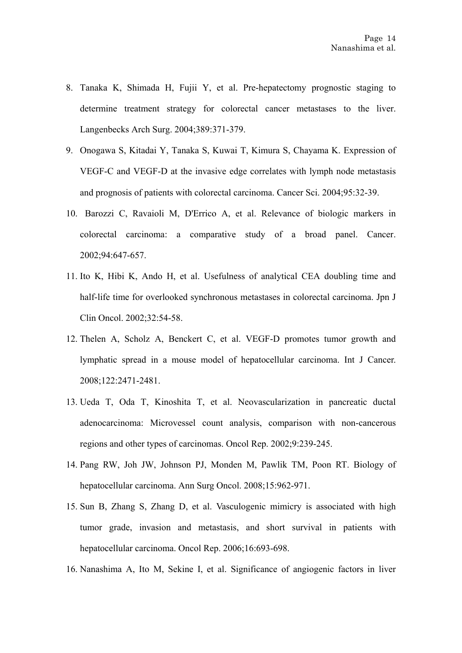- 8. [Tanaka K,](http://www.ncbi.nlm.nih.gov/sites/entrez?Db=pubmed&Cmd=Search&Term=%22Tanaka%20K%22%5BAuthor%5D&itool=EntrezSystem2.PEntrez.Pubmed.Pubmed_ResultsPanel.Pubmed_DiscoveryPanel.Pubmed_RVAbstractPlus) [Shimada H](http://www.ncbi.nlm.nih.gov/sites/entrez?Db=pubmed&Cmd=Search&Term=%22Shimada%20H%22%5BAuthor%5D&itool=EntrezSystem2.PEntrez.Pubmed.Pubmed_ResultsPanel.Pubmed_DiscoveryPanel.Pubmed_RVAbstractPlus), [Fujii Y,](http://www.ncbi.nlm.nih.gov/sites/entrez?Db=pubmed&Cmd=Search&Term=%22Fujii%20Y%22%5BAuthor%5D&itool=EntrezSystem2.PEntrez.Pubmed.Pubmed_ResultsPanel.Pubmed_DiscoveryPanel.Pubmed_RVAbstractPlus) et al. [Pre-hepatectomy prognostic staging to](javascript:AL_get(this,%20)  [determine treatment strategy for colorectal cancer metastases to the liver.](javascript:AL_get(this,%20)  [Langenbecks Arch Surg.](javascript:AL_get(this,%20) 2004;389:371-379.
- 9. Onogawa S, [Kitadai Y](http://www.ncbi.nlm.nih.gov/sites/entrez?Db=pubmed&Cmd=Search&Term=%22Kitadai%20Y%22%5BAuthor%5D&itool=EntrezSystem2.PEntrez.Pubmed.Pubmed_ResultsPanel.Pubmed_DiscoveryPanel.Pubmed_RVAbstractPlus), [Tanaka S](http://www.ncbi.nlm.nih.gov/sites/entrez?Db=pubmed&Cmd=Search&Term=%22Tanaka%20S%22%5BAuthor%5D&itool=EntrezSystem2.PEntrez.Pubmed.Pubmed_ResultsPanel.Pubmed_DiscoveryPanel.Pubmed_RVAbstractPlus), [Kuwai T](http://www.ncbi.nlm.nih.gov/sites/entrez?Db=pubmed&Cmd=Search&Term=%22Kuwai%20T%22%5BAuthor%5D&itool=EntrezSystem2.PEntrez.Pubmed.Pubmed_ResultsPanel.Pubmed_DiscoveryPanel.Pubmed_RVAbstractPlus), [Kimura S](http://www.ncbi.nlm.nih.gov/sites/entrez?Db=pubmed&Cmd=Search&Term=%22Kimura%20S%22%5BAuthor%5D&itool=EntrezSystem2.PEntrez.Pubmed.Pubmed_ResultsPanel.Pubmed_DiscoveryPanel.Pubmed_RVAbstractPlus), [Chayama K](http://www.ncbi.nlm.nih.gov/sites/entrez?Db=pubmed&Cmd=Search&Term=%22Chayama%20K%22%5BAuthor%5D&itool=EntrezSystem2.PEntrez.Pubmed.Pubmed_ResultsPanel.Pubmed_DiscoveryPanel.Pubmed_RVAbstractPlus). Expression of VEGF-C and VEGF-D at the invasive edge correlates with lymph node metastasis and prognosis of patients with colorectal carcinoma. [Cancer Sci.](javascript:AL_get(this,%20) 2004;95:32-39.
- 10. [Barozzi C](http://www.ncbi.nlm.nih.gov/sites/entrez?Db=pubmed&Cmd=Search&Term=%22Barozzi%20C%22%5BAuthor%5D&itool=EntrezSystem2.PEntrez.Pubmed.Pubmed_ResultsPanel.Pubmed_DiscoveryPanel.Pubmed_RVAbstractPlus), [Ravaioli M,](http://www.ncbi.nlm.nih.gov/sites/entrez?Db=pubmed&Cmd=Search&Term=%22Ravaioli%20M%22%5BAuthor%5D&itool=EntrezSystem2.PEntrez.Pubmed.Pubmed_ResultsPanel.Pubmed_DiscoveryPanel.Pubmed_RVAbstractPlus) [D'Errico A](http://www.ncbi.nlm.nih.gov/sites/entrez?Db=pubmed&Cmd=Search&Term=%22D), et al. Relevance of biologic markers in colorectal carcinoma: a comparative study of a broad panel. [Cancer.](javascript:AL_get(this,%20) 2002;94:647-657.
- 11. Ito K, [Hibi K](http://www.ncbi.nlm.nih.gov/sites/entrez?Db=pubmed&Cmd=Search&Term=%22Hibi%20K%22%5BAuthor%5D&itool=EntrezSystem2.PEntrez.Pubmed.Pubmed_ResultsPanel.Pubmed_DiscoveryPanel.Pubmed_RVAbstractPlus), [Ando H,](http://www.ncbi.nlm.nih.gov/sites/entrez?Db=pubmed&Cmd=Search&Term=%22Ando%20H%22%5BAuthor%5D&itool=EntrezSystem2.PEntrez.Pubmed.Pubmed_ResultsPanel.Pubmed_DiscoveryPanel.Pubmed_RVAbstractPlus) et al. Usefulness of analytical CEA doubling time and half-life time for overlooked synchronous metastases in colorectal carcinoma. [Jpn J](javascript:AL_get(this,%20)  [Clin Oncol.](javascript:AL_get(this,%20) 2002;32:54-58.
- 12. [Thelen A](http://www.ncbi.nlm.nih.gov/sites/entrez?Db=pubmed&Cmd=Search&Term=%22Thelen%20A%22%5BAuthor%5D&itool=EntrezSystem2.PEntrez.Pubmed.Pubmed_ResultsPanel.Pubmed_DiscoveryPanel.Pubmed_RVAbstractPlus), [Scholz A](http://www.ncbi.nlm.nih.gov/sites/entrez?Db=pubmed&Cmd=Search&Term=%22Scholz%20A%22%5BAuthor%5D&itool=EntrezSystem2.PEntrez.Pubmed.Pubmed_ResultsPanel.Pubmed_DiscoveryPanel.Pubmed_RVAbstractPlus), [Benckert C,](http://www.ncbi.nlm.nih.gov/sites/entrez?Db=pubmed&Cmd=Search&Term=%22Benckert%20C%22%5BAuthor%5D&itool=EntrezSystem2.PEntrez.Pubmed.Pubmed_ResultsPanel.Pubmed_DiscoveryPanel.Pubmed_RVAbstractPlus) et al. VEGF-D promotes tumor growth and lymphatic spread in a mouse model of hepatocellular carcinoma. [Int J Cancer.](javascript:AL_get(this,%20) 2008;122:2471-2481.
- 13. [Ueda T](http://www.ncbi.nlm.nih.gov/sites/entrez?Db=pubmed&Cmd=Search&Term=%22Ueda%20T%22%5BAuthor%5D&itool=EntrezSystem2.PEntrez.Pubmed.Pubmed_ResultsPanel.Pubmed_DiscoveryPanel.Pubmed_RVAbstractPlus), [Oda T,](http://www.ncbi.nlm.nih.gov/sites/entrez?Db=pubmed&Cmd=Search&Term=%22Oda%20T%22%5BAuthor%5D&itool=EntrezSystem2.PEntrez.Pubmed.Pubmed_ResultsPanel.Pubmed_DiscoveryPanel.Pubmed_RVAbstractPlus) [Kinoshita T,](http://www.ncbi.nlm.nih.gov/sites/entrez?Db=pubmed&Cmd=Search&Term=%22Kinoshita%20T%22%5BAuthor%5D&itool=EntrezSystem2.PEntrez.Pubmed.Pubmed_ResultsPanel.Pubmed_DiscoveryPanel.Pubmed_RVAbstractPlus) et al. Neovascularization in pancreatic ductal adenocarcinoma: Microvessel count analysis, comparison with non-cancerous regions and other types of carcinomas. [Oncol Rep.](javascript:AL_get(this,%20) 2002;9:239-245.
- 14. [Pang RW](http://www.ncbi.nlm.nih.gov/sites/entrez?Db=pubmed&Cmd=Search&Term=%22Pang%20RW%22%5BAuthor%5D&itool=EntrezSystem2.PEntrez.Pubmed.Pubmed_ResultsPanel.Pubmed_DiscoveryPanel.Pubmed_RVAbstractPlus), [Joh JW](http://www.ncbi.nlm.nih.gov/sites/entrez?Db=pubmed&Cmd=Search&Term=%22Joh%20JW%22%5BAuthor%5D&itool=EntrezSystem2.PEntrez.Pubmed.Pubmed_ResultsPanel.Pubmed_DiscoveryPanel.Pubmed_RVAbstractPlus), [Johnson PJ](http://www.ncbi.nlm.nih.gov/sites/entrez?Db=pubmed&Cmd=Search&Term=%22Johnson%20PJ%22%5BAuthor%5D&itool=EntrezSystem2.PEntrez.Pubmed.Pubmed_ResultsPanel.Pubmed_DiscoveryPanel.Pubmed_RVAbstractPlus), [Monden M](http://www.ncbi.nlm.nih.gov/sites/entrez?Db=pubmed&Cmd=Search&Term=%22Monden%20M%22%5BAuthor%5D&itool=EntrezSystem2.PEntrez.Pubmed.Pubmed_ResultsPanel.Pubmed_DiscoveryPanel.Pubmed_RVAbstractPlus), [Pawlik TM,](http://www.ncbi.nlm.nih.gov/sites/entrez?Db=pubmed&Cmd=Search&Term=%22Pawlik%20TM%22%5BAuthor%5D&itool=EntrezSystem2.PEntrez.Pubmed.Pubmed_ResultsPanel.Pubmed_DiscoveryPanel.Pubmed_RVAbstractPlus) [Poon RT](http://www.ncbi.nlm.nih.gov/sites/entrez?Db=pubmed&Cmd=Search&Term=%22Poon%20RT%22%5BAuthor%5D&itool=EntrezSystem2.PEntrez.Pubmed.Pubmed_ResultsPanel.Pubmed_DiscoveryPanel.Pubmed_RVAbstractPlus). Biology of hepatocellular carcinoma. [Ann Surg Oncol.](javascript:AL_get(this,%20) 2008;15:962-971.
- 15. [Sun B](http://www.ncbi.nlm.nih.gov/sites/entrez?Db=pubmed&Cmd=Search&Term=%22Sun%20B%22%5BAuthor%5D&itool=EntrezSystem2.PEntrez.Pubmed.Pubmed_ResultsPanel.Pubmed_DiscoveryPanel.Pubmed_RVAbstractPlus), [Zhang S](http://www.ncbi.nlm.nih.gov/sites/entrez?Db=pubmed&Cmd=Search&Term=%22Zhang%20S%22%5BAuthor%5D&itool=EntrezSystem2.PEntrez.Pubmed.Pubmed_ResultsPanel.Pubmed_DiscoveryPanel.Pubmed_RVAbstractPlus), [Zhang D](http://www.ncbi.nlm.nih.gov/sites/entrez?Db=pubmed&Cmd=Search&Term=%22Zhang%20D%22%5BAuthor%5D&itool=EntrezSystem2.PEntrez.Pubmed.Pubmed_ResultsPanel.Pubmed_DiscoveryPanel.Pubmed_RVAbstractPlus), et al. Vasculogenic mimicry is associated with high tumor grade, invasion and metastasis, and short survival in patients with hepatocellular carcinoma. [Oncol Rep.](javascript:AL_get(this,%20) 2006;16:693-698.
- 16. [Nanashima A,](http://www.ncbi.nlm.nih.gov/sites/entrez?Db=pubmed&Cmd=Search&Term=%22Nanashima%20A%22%5BAuthor%5D&itool=EntrezSystem2.PEntrez.Pubmed.Pubmed_ResultsPanel.Pubmed_DiscoveryPanel.Pubmed_RVAbstractPlus) [Ito M](http://www.ncbi.nlm.nih.gov/sites/entrez?Db=pubmed&Cmd=Search&Term=%22Ito%20M%22%5BAuthor%5D&itool=EntrezSystem2.PEntrez.Pubmed.Pubmed_ResultsPanel.Pubmed_DiscoveryPanel.Pubmed_RVAbstractPlus), [Sekine I,](http://www.ncbi.nlm.nih.gov/sites/entrez?Db=pubmed&Cmd=Search&Term=%22Sekine%20I%22%5BAuthor%5D&itool=EntrezSystem2.PEntrez.Pubmed.Pubmed_ResultsPanel.Pubmed_DiscoveryPanel.Pubmed_RVAbstractPlus) et al. Significance of angiogenic factors in liver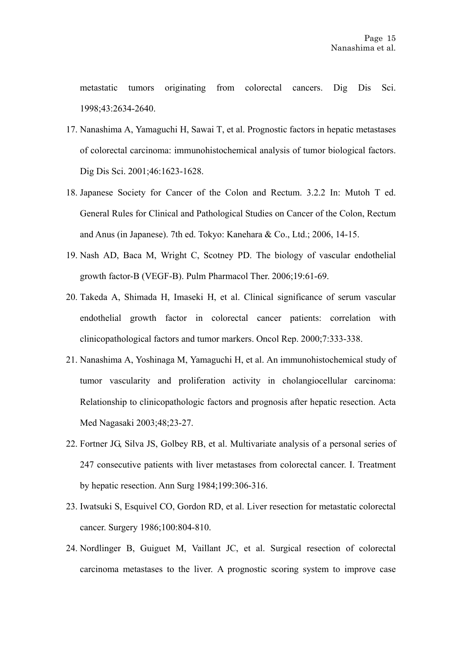metastatic tumors originating from colorectal cancers. Dig Dis Sci. 1998;43:2634-2640.

- 17. [Nanashima A,](http://www.ncbi.nlm.nih.gov/sites/entrez?Db=pubmed&Cmd=Search&Term=%22Nanashima%20A%22%5BAuthor%5D&itool=EntrezSystem2.PEntrez.Pubmed.Pubmed_ResultsPanel.Pubmed_DiscoveryPanel.Pubmed_RVAbstractPlus) [Yamaguchi H,](http://www.ncbi.nlm.nih.gov/sites/entrez?Db=pubmed&Cmd=Search&Term=%22Yamaguchi%20H%22%5BAuthor%5D&itool=EntrezSystem2.PEntrez.Pubmed.Pubmed_ResultsPanel.Pubmed_DiscoveryPanel.Pubmed_RVAbstractPlus) [Sawai T](http://www.ncbi.nlm.nih.gov/sites/entrez?Db=pubmed&Cmd=Search&Term=%22Sawai%20T%22%5BAuthor%5D&itool=EntrezSystem2.PEntrez.Pubmed.Pubmed_ResultsPanel.Pubmed_DiscoveryPanel.Pubmed_RVAbstractPlus), et al. Prognostic factors in hepatic metastases of colorectal carcinoma: immunohistochemical analysis of tumor biological factors. [Dig Dis Sci.](javascript:AL_get(this,%20) 2001;46:1623-1628.
- 18. Japanese Society for Cancer of the Colon and Rectum. 3.2.2 In: Mutoh T ed. General Rules for Clinical and Pathological Studies on Cancer of the Colon, Rectum and Anus (in Japanese). 7th ed. Tokyo: Kanehara & Co., Ltd.; 2006, 14-15.
- 19. [Nash AD](http://www.ncbi.nlm.nih.gov/sites/entrez?Db=pubmed&Cmd=Search&Term=%22Nash%20AD%22%5BAuthor%5D&itool=EntrezSystem2.PEntrez.Pubmed.Pubmed_ResultsPanel.Pubmed_DiscoveryPanel.Pubmed_RVAbstractPlus), [Baca M,](http://www.ncbi.nlm.nih.gov/sites/entrez?Db=pubmed&Cmd=Search&Term=%22Baca%20M%22%5BAuthor%5D&itool=EntrezSystem2.PEntrez.Pubmed.Pubmed_ResultsPanel.Pubmed_DiscoveryPanel.Pubmed_RVAbstractPlus) [Wright C](http://www.ncbi.nlm.nih.gov/sites/entrez?Db=pubmed&Cmd=Search&Term=%22Wright%20C%22%5BAuthor%5D&itool=EntrezSystem2.PEntrez.Pubmed.Pubmed_ResultsPanel.Pubmed_DiscoveryPanel.Pubmed_RVAbstractPlus), [Scotney PD.](http://www.ncbi.nlm.nih.gov/sites/entrez?Db=pubmed&Cmd=Search&Term=%22Scotney%20PD%22%5BAuthor%5D&itool=EntrezSystem2.PEntrez.Pubmed.Pubmed_ResultsPanel.Pubmed_DiscoveryPanel.Pubmed_RVAbstractPlus) The biology of vascular endothelial growth factor-B (VEGF-B). [Pulm Pharmacol Ther.](javascript:AL_get(this,%20) 2006;19:61-69.
- 20. Takeda A, [Shimada H,](http://www.ncbi.nlm.nih.gov/sites/entrez?Db=pubmed&Cmd=Search&Term=%22Shimada%20H%22%5BAuthor%5D&itool=EntrezSystem2.PEntrez.Pubmed.Pubmed_ResultsPanel.Pubmed_DiscoveryPanel.Pubmed_RVAbstractPlus) [Imaseki H,](http://www.ncbi.nlm.nih.gov/sites/entrez?Db=pubmed&Cmd=Search&Term=%22Imaseki%20H%22%5BAuthor%5D&itool=EntrezSystem2.PEntrez.Pubmed.Pubmed_ResultsPanel.Pubmed_DiscoveryPanel.Pubmed_RVAbstractPlus) et al. Clinical significance of serum vascular endothelial growth factor in colorectal cancer patients: correlation with clinicopathological factors and tumor markers. [Oncol Rep.](javascript:AL_get(this,%20) 2000;7:333-338.
- 21. Nanashima A, Yoshinaga M, Yamaguchi H, et al. An immunohistochemical study of tumor vascularity and proliferation activity in cholangiocellular carcinoma: Relationship to clinicopathologic factors and prognosis after hepatic resection. Acta Med Nagasaki 2003;48;23-27.
- 22. Fortner JG, Silva JS, Golbey RB, et al. Multivariate analysis of a personal series of 247 consecutive patients with liver metastases from colorectal cancer. I. Treatment by hepatic resection. Ann Surg 1984;199:306-316.
- 23. Iwatsuki S, Esquivel CO, Gordon RD, et al. Liver resection for metastatic colorectal cancer. Surgery 1986;100:804-810.
- 24. Nordlinger B, Guiguet M, Vaillant JC, et al. Surgical resection of colorectal carcinoma metastases to the liver. A prognostic scoring system to improve case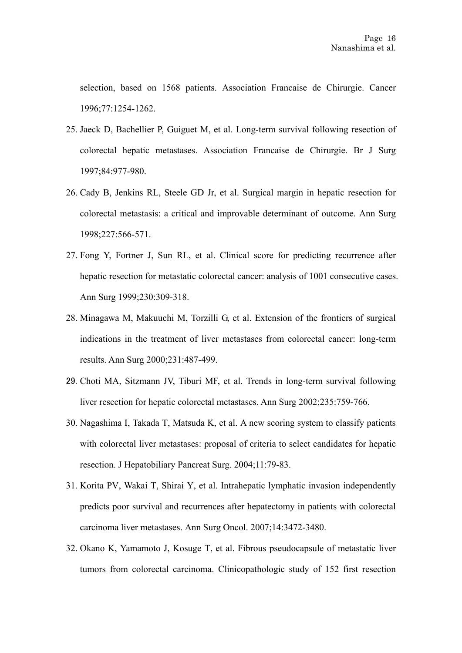selection, based on 1568 patients. Association Francaise de Chirurgie. Cancer 1996;77:1254-1262.

- 25. Jaeck D, Bachellier P, Guiguet M, et al. Long-term survival following resection of colorectal hepatic metastases. Association Francaise de Chirurgie. Br J Surg 1997;84:977-980.
- 26. Cady B, Jenkins RL, Steele GD Jr, et al. Surgical margin in hepatic resection for colorectal metastasis: a critical and improvable determinant of outcome. Ann Surg 1998;227:566-571.
- 27. Fong Y, Fortner J, Sun RL, et al. Clinical score for predicting recurrence after hepatic resection for metastatic colorectal cancer: analysis of 1001 consecutive cases. Ann Surg 1999;230:309-318.
- 28. Minagawa M, Makuuchi M, Torzilli G, et al. Extension of the frontiers of surgical indications in the treatment of liver metastases from colorectal cancer: long-term results. Ann Surg 2000;231:487-499.
- 29. Choti MA, Sitzmann JV, Tiburi MF, et al. Trends in long-term survival following liver resection for hepatic colorectal metastases. Ann Surg 2002;235:759-766.
- 30. [Nagashima I,](http://www.ncbi.nlm.nih.gov/sites/entrez?Db=pubmed&Cmd=Search&Term=%22Nagashima%20I%22%5BAuthor%5D&itool=EntrezSystem2.PEntrez.Pubmed.Pubmed_ResultsPanel.Pubmed_DiscoveryPanel.Pubmed_RVAbstractPlus) [Takada T](http://www.ncbi.nlm.nih.gov/sites/entrez?Db=pubmed&Cmd=Search&Term=%22Takada%20T%22%5BAuthor%5D&itool=EntrezSystem2.PEntrez.Pubmed.Pubmed_ResultsPanel.Pubmed_DiscoveryPanel.Pubmed_RVAbstractPlus), Matsuda K, et al. A new scoring system to classify patients with colorectal liver metastases: proposal of criteria to select candidates for hepatic resection. [J Hepatobiliary Pancreat Surg.](javascript:AL_get(this,%20) 2004;11:79-83.
- 31. [Korita PV](http://www.ncbi.nlm.nih.gov/sites/entrez?Db=pubmed&Cmd=Search&Term=%22Korita%20PV%22%5BAuthor%5D&itool=EntrezSystem2.PEntrez.Pubmed.Pubmed_ResultsPanel.Pubmed_DiscoveryPanel.Pubmed_RVAbstractPlus), [Wakai T,](http://www.ncbi.nlm.nih.gov/sites/entrez?Db=pubmed&Cmd=Search&Term=%22Wakai%20T%22%5BAuthor%5D&itool=EntrezSystem2.PEntrez.Pubmed.Pubmed_ResultsPanel.Pubmed_DiscoveryPanel.Pubmed_RVAbstractPlus) [Shirai Y,](http://www.ncbi.nlm.nih.gov/sites/entrez?Db=pubmed&Cmd=Search&Term=%22Shirai%20Y%22%5BAuthor%5D&itool=EntrezSystem2.PEntrez.Pubmed.Pubmed_ResultsPanel.Pubmed_DiscoveryPanel.Pubmed_RVAbstractPlus) et al. Intrahepatic lymphatic invasion independently predicts poor survival and recurrences after hepatectomy in patients with colorectal carcinoma liver metastases. Ann Surg Oncol. 2007;14:3472-3480.
- 32. [Okano K,](http://www.ncbi.nlm.nih.gov/sites/entrez?Db=pubmed&Cmd=Search&Term=%22Okano%20K%22%5BAuthor%5D&itool=EntrezSystem2.PEntrez.Pubmed.Pubmed_ResultsPanel.Pubmed_DiscoveryPanel.Pubmed_RVAbstractPlus) [Yamamoto J](http://www.ncbi.nlm.nih.gov/sites/entrez?Db=pubmed&Cmd=Search&Term=%22Yamamoto%20J%22%5BAuthor%5D&itool=EntrezSystem2.PEntrez.Pubmed.Pubmed_ResultsPanel.Pubmed_DiscoveryPanel.Pubmed_RVAbstractPlus), [Kosuge T](http://www.ncbi.nlm.nih.gov/sites/entrez?Db=pubmed&Cmd=Search&Term=%22Kosuge%20T%22%5BAuthor%5D&itool=EntrezSystem2.PEntrez.Pubmed.Pubmed_ResultsPanel.Pubmed_DiscoveryPanel.Pubmed_RVAbstractPlus), et al. Fibrous pseudocapsule of metastatic liver tumors from colorectal carcinoma. Clinicopathologic study of 152 first resection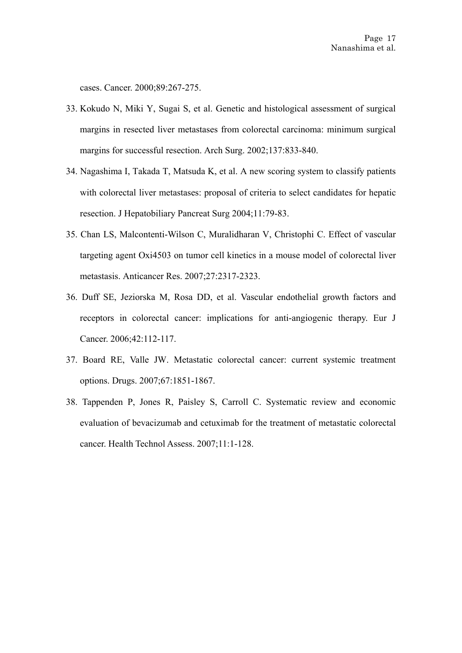cases. Cancer. 2000;89:267-275.

- 33. [Kokudo N](http://www.ncbi.nlm.nih.gov/sites/entrez?Db=pubmed&Cmd=Search&Term=%22Kokudo%20N%22%5BAuthor%5D&itool=EntrezSystem2.PEntrez.Pubmed.Pubmed_ResultsPanel.Pubmed_DiscoveryPanel.Pubmed_RVAbstractPlus), [Miki Y,](http://www.ncbi.nlm.nih.gov/sites/entrez?Db=pubmed&Cmd=Search&Term=%22Miki%20Y%22%5BAuthor%5D&itool=EntrezSystem2.PEntrez.Pubmed.Pubmed_ResultsPanel.Pubmed_DiscoveryPanel.Pubmed_RVAbstractPlus) [Sugai S,](http://www.ncbi.nlm.nih.gov/sites/entrez?Db=pubmed&Cmd=Search&Term=%22Sugai%20S%22%5BAuthor%5D&itool=EntrezSystem2.PEntrez.Pubmed.Pubmed_ResultsPanel.Pubmed_DiscoveryPanel.Pubmed_RVAbstractPlus) et al. Genetic and histological assessment of surgical margins in resected liver metastases from colorectal carcinoma: minimum surgical margins for successful resection. [Arch Surg.](javascript:AL_get(this,%20) 2002;137:833-840.
- 34. Nagashima I, Takada T, Matsuda K, et al. A new scoring system to classify patients with colorectal liver metastases: proposal of criteria to select candidates for hepatic resection. J Hepatobiliary Pancreat Surg 2004;11:79-83.
- 35. [Chan LS](http://www.ncbi.nlm.nih.gov/sites/entrez?Db=pubmed&Cmd=Search&Term=%22Chan%20LS%22%5BAuthor%5D&itool=EntrezSystem2.PEntrez.Pubmed.Pubmed_ResultsPanel.Pubmed_DiscoveryPanel.Pubmed_RVAbstractPlus), [Malcontenti-Wilson C](http://www.ncbi.nlm.nih.gov/sites/entrez?Db=pubmed&Cmd=Search&Term=%22Malcontenti-Wilson%20C%22%5BAuthor%5D&itool=EntrezSystem2.PEntrez.Pubmed.Pubmed_ResultsPanel.Pubmed_DiscoveryPanel.Pubmed_RVAbstractPlus), [Muralidharan V](http://www.ncbi.nlm.nih.gov/sites/entrez?Db=pubmed&Cmd=Search&Term=%22Muralidharan%20V%22%5BAuthor%5D&itool=EntrezSystem2.PEntrez.Pubmed.Pubmed_ResultsPanel.Pubmed_DiscoveryPanel.Pubmed_RVAbstractPlus), [Christophi C.](http://www.ncbi.nlm.nih.gov/sites/entrez?Db=pubmed&Cmd=Search&Term=%22Christophi%20C%22%5BAuthor%5D&itool=EntrezSystem2.PEntrez.Pubmed.Pubmed_ResultsPanel.Pubmed_DiscoveryPanel.Pubmed_RVAbstractPlus) Effect of vascular targeting agent Oxi4503 on tumor cell kinetics in a mouse model of colorectal liver metastasis. [Anticancer Res.](javascript:AL_get(this,%20) 2007;27:2317-2323.
- 36. [Duff SE](http://www.ncbi.nlm.nih.gov/sites/entrez?Db=pubmed&Cmd=Search&Term=%22Duff%20SE%22%5BAuthor%5D&itool=EntrezSystem2.PEntrez.Pubmed.Pubmed_ResultsPanel.Pubmed_DiscoveryPanel.Pubmed_RVAbstractPlus), [Jeziorska M](http://www.ncbi.nlm.nih.gov/sites/entrez?Db=pubmed&Cmd=Search&Term=%22Jeziorska%20M%22%5BAuthor%5D&itool=EntrezSystem2.PEntrez.Pubmed.Pubmed_ResultsPanel.Pubmed_DiscoveryPanel.Pubmed_RVAbstractPlus), [Rosa DD](http://www.ncbi.nlm.nih.gov/sites/entrez?Db=pubmed&Cmd=Search&Term=%22Rosa%20DD%22%5BAuthor%5D&itool=EntrezSystem2.PEntrez.Pubmed.Pubmed_ResultsPanel.Pubmed_DiscoveryPanel.Pubmed_RVAbstractPlus), et al. Vascular endothelial growth factors and receptors in colorectal cancer: implications for anti-angiogenic therapy. [Eur J](javascript:AL_get(this,%20)  [Cancer.](javascript:AL_get(this,%20) 2006;42:112-117.
- 37. [Board RE,](http://www.ncbi.nlm.nih.gov/sites/entrez?Db=pubmed&Cmd=Search&Term=%22Board%20RE%22%5BAuthor%5D&itool=EntrezSystem2.PEntrez.Pubmed.Pubmed_ResultsPanel.Pubmed_DiscoveryPanel.Pubmed_RVAbstractPlus) [Valle JW.](http://www.ncbi.nlm.nih.gov/sites/entrez?Db=pubmed&Cmd=Search&Term=%22Valle%20JW%22%5BAuthor%5D&itool=EntrezSystem2.PEntrez.Pubmed.Pubmed_ResultsPanel.Pubmed_DiscoveryPanel.Pubmed_RVAbstractPlus) Metastatic colorectal cancer: current systemic treatment options. [Drugs.](javascript:AL_get(this,%20) 2007;67:1851-1867.
- 38. [Tappenden P](http://www.ncbi.nlm.nih.gov/sites/entrez?Db=pubmed&Cmd=Search&Term=%22Tappenden%20P%22%5BAuthor%5D&itool=EntrezSystem2.PEntrez.Pubmed.Pubmed_ResultsPanel.Pubmed_DiscoveryPanel.Pubmed_RVAbstractPlus), [Jones R,](http://www.ncbi.nlm.nih.gov/sites/entrez?Db=pubmed&Cmd=Search&Term=%22Jones%20R%22%5BAuthor%5D&itool=EntrezSystem2.PEntrez.Pubmed.Pubmed_ResultsPanel.Pubmed_DiscoveryPanel.Pubmed_RVAbstractPlus) [Paisley S](http://www.ncbi.nlm.nih.gov/sites/entrez?Db=pubmed&Cmd=Search&Term=%22Paisley%20S%22%5BAuthor%5D&itool=EntrezSystem2.PEntrez.Pubmed.Pubmed_ResultsPanel.Pubmed_DiscoveryPanel.Pubmed_RVAbstractPlus), [Carroll C](http://www.ncbi.nlm.nih.gov/sites/entrez?Db=pubmed&Cmd=Search&Term=%22Carroll%20C%22%5BAuthor%5D&itool=EntrezSystem2.PEntrez.Pubmed.Pubmed_ResultsPanel.Pubmed_DiscoveryPanel.Pubmed_RVAbstractPlus). Systematic review and economic evaluation of bevacizumab and cetuximab for the treatment of metastatic colorectal cancer. [Health Technol Assess.](javascript:AL_get(this,%20) 2007;11:1-128.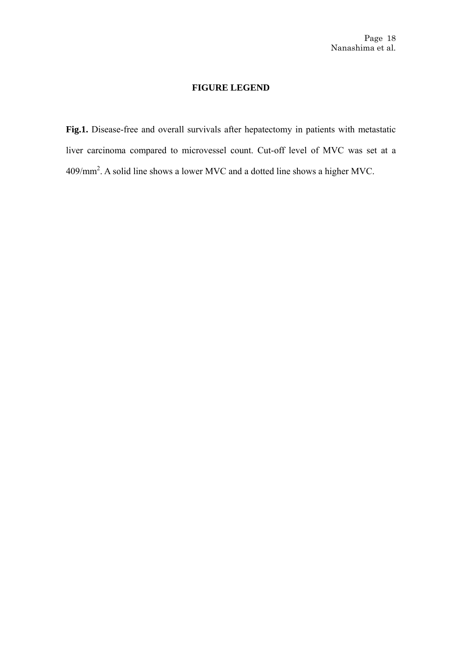## **FIGURE LEGEND**

**Fig.1.** Disease-free and overall survivals after hepatectomy in patients with metastatic liver carcinoma compared to microvessel count. Cut-off level of MVC was set at a 409/mm2 . A solid line shows a lower MVC and a dotted line shows a higher MVC.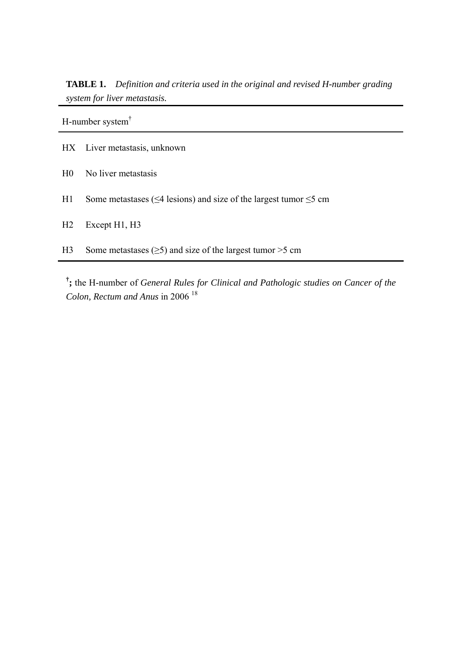**TABLE 1.** *Definition and criteria used in the original and revised H-number grading system for liver metastasis.*

H-number system†

- HX Liver metastasis, unknown
- H0 No liver metastasis
- H1 Some metastases ( $\leq$ 4 lesions) and size of the largest tumor  $\leq$ 5 cm
- H<sub>2</sub> Except H<sub>1</sub>, H<sub>3</sub>
- H3 Some metastases  $(\geq 5)$  and size of the largest tumor  $> 5$  cm

**† ;** the H-number of *General Rules for Clinical and Pathologic studies on Cancer of the Colon, Rectum and Anus* in 2006 <sup>18</sup>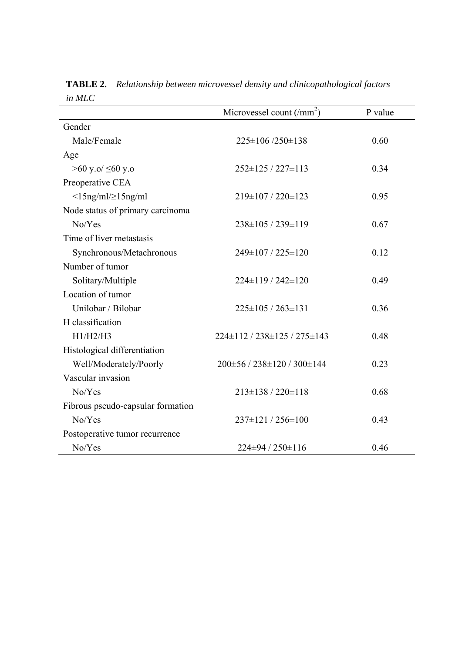|                                   | Microvessel count $(\text{/mm}^2)$ | P value |
|-----------------------------------|------------------------------------|---------|
| Gender                            |                                    |         |
| Male/Female                       | $225 \pm 106 / 250 \pm 138$        | 0.60    |
| Age                               |                                    |         |
| >60 y.o/ ≤60 y.o                  | $252 \pm 125 / 227 \pm 113$        | 0.34    |
| Preoperative CEA                  |                                    |         |
| $\langle$ 15ng/ml/ $\geq$ 15ng/ml | 219±107 / 220±123                  | 0.95    |
| Node status of primary carcinoma  |                                    |         |
| No/Yes                            | 238±105 / 239±119                  | 0.67    |
| Time of liver metastasis          |                                    |         |
| Synchronous/Metachronous          | 249±107 / 225±120                  | 0.12    |
| Number of tumor                   |                                    |         |
| Solitary/Multiple                 | $224\pm119/242\pm120$              | 0.49    |
| Location of tumor                 |                                    |         |
| Unilobar / Bilobar                | $225 \pm 105 / 263 \pm 131$        | 0.36    |
| H classification                  |                                    |         |
| H1/H2/H3                          | 224±112 / 238±125 / 275±143        | 0.48    |
| Histological differentiation      |                                    |         |
| Well/Moderately/Poorly            | $200\pm56/238\pm120/300\pm144$     | 0.23    |
| Vascular invasion                 |                                    |         |
| No/Yes                            | $213\pm138/220\pm118$              | 0.68    |
| Fibrous pseudo-capsular formation |                                    |         |
| No/Yes                            | 237±121 / 256±100                  | 0.43    |
| Postoperative tumor recurrence    |                                    |         |
| No/Yes                            | 224±94 / 250±116                   | 0.46    |

**TABLE 2.** *Relationship between microvessel density and clinicopathological factors in MLC*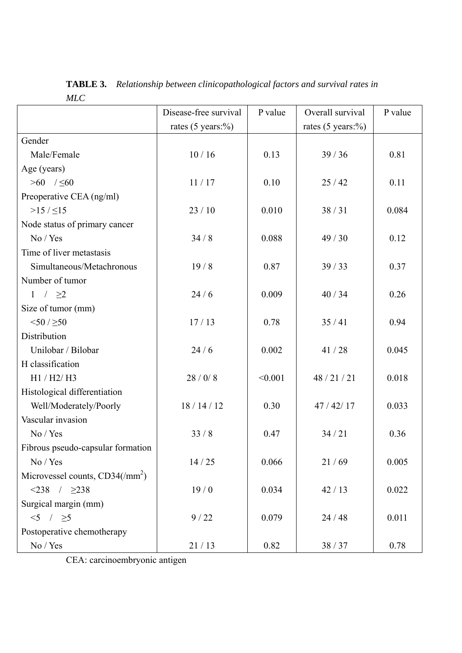**TABLE 3.** *Relationship between clinicopathological factors and survival rates in MLC* 

|                                   | Disease-free survival        | P value | Overall survival             | P value |
|-----------------------------------|------------------------------|---------|------------------------------|---------|
|                                   | rates $(5 \text{ years:} %)$ |         | rates $(5 \text{ years:} %)$ |         |
| Gender                            |                              |         |                              |         |
| Male/Female                       | 10/16                        | 0.13    | 39/36                        | 0.81    |
| Age (years)                       |                              |         |                              |         |
| $>60$ / $\leq 60$                 | 11/17                        | 0.10    | 25/42                        | 0.11    |
| Preoperative CEA (ng/ml)          |                              |         |                              |         |
| $>15 / \leq 15$                   | 23/10                        | 0.010   | 38/31                        | 0.084   |
| Node status of primary cancer     |                              |         |                              |         |
| No / Yes                          | 34/8                         | 0.088   | 49/30                        | 0.12    |
| Time of liver metastasis          |                              |         |                              |         |
| Simultaneous/Metachronous         | 19/8                         | 0.87    | 39/33                        | 0.37    |
| Number of tumor                   |                              |         |                              |         |
| 1 / $\geq$ 2                      | 24/6                         | 0.009   | 40/34                        | 0.26    |
| Size of tumor (mm)                |                              |         |                              |         |
| 50/50                             | 17/13                        | 0.78    | 35/41                        | 0.94    |
| Distribution                      |                              |         |                              |         |
| Unilobar / Bilobar                | 24/6                         | 0.002   | 41/28                        | 0.045   |
| H classification                  |                              |         |                              |         |
| H1 / H2 / H3                      | 28/0/8                       | < 0.001 | 48/21/21                     | 0.018   |
| Histological differentiation      |                              |         |                              |         |
| Well/Moderately/Poorly            | 18/14/12                     | 0.30    | 47/42/17                     | 0.033   |
| Vascular invasion                 |                              |         |                              |         |
| No / Yes                          | 33/8                         | 0.47    | 34/21                        | 0.36    |
| Fibrous pseudo-capsular formation |                              |         |                              |         |
| No / Yes                          | 14/25                        | 0.066   | 21/69                        | 0.005   |
| Microvessel counts, $CD34/(mm^2)$ |                              |         |                              |         |
| $< 238$ / $\geq 238$              | 19/0                         | 0.034   | 42/13                        | 0.022   |
| Surgical margin (mm)              |                              |         |                              |         |
| $5 / \ge 5$                       | 9/22                         | 0.079   | 24/48                        | 0.011   |
| Postoperative chemotherapy        |                              |         |                              |         |
| No / Yes                          | 21/13                        | 0.82    | 38/37                        | 0.78    |

CEA: carcinoembryonic antigen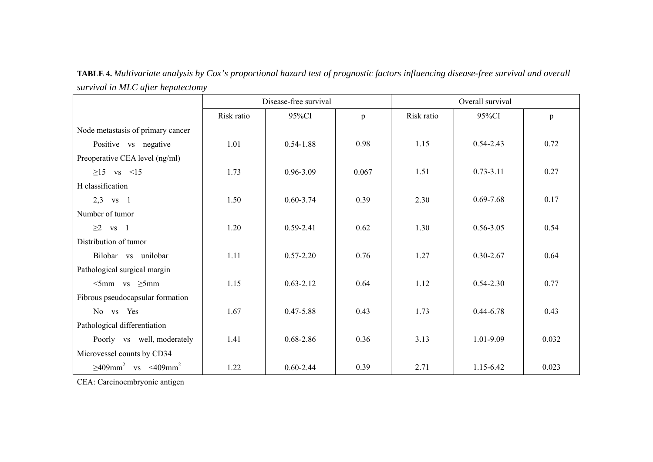**TABLE 4.** *Multivariate analysis by Cox's proportional hazard test of prognostic factors influencing disease-free survival and overall survival in MLC after hepatectomy*

|                                                   |            | Disease-free survival |              | Overall survival |               |       |  |  |
|---------------------------------------------------|------------|-----------------------|--------------|------------------|---------------|-------|--|--|
|                                                   | Risk ratio | 95%CI                 | $\mathbf{p}$ | Risk ratio       | 95%CI         | p     |  |  |
| Node metastasis of primary cancer                 |            |                       |              |                  |               |       |  |  |
| Positive vs negative                              | 1.01       | $0.54 - 1.88$         | 0.98         | 1.15             | $0.54 - 2.43$ | 0.72  |  |  |
| Preoperative CEA level (ng/ml)                    |            |                       |              |                  |               |       |  |  |
| $\geq$ 15 vs <15                                  | 1.73       | 0.96-3.09             | 0.067        | 1.51             | $0.73 - 3.11$ | 0.27  |  |  |
| H classification                                  |            |                       |              |                  |               |       |  |  |
| $2,3$ vs 1                                        | 1.50       | $0.60 - 3.74$         | 0.39         | 2.30             | $0.69 - 7.68$ | 0.17  |  |  |
| Number of tumor                                   |            |                       |              |                  |               |       |  |  |
| $\geq$ vs 1                                       | 1.20       | $0.59 - 2.41$         | 0.62         | 1.30             | $0.56 - 3.05$ | 0.54  |  |  |
| Distribution of tumor                             |            |                       |              |                  |               |       |  |  |
| Bilobar vs unilobar                               | 1.11       | $0.57 - 2.20$         | 0.76         | 1.27             | $0.30 - 2.67$ | 0.64  |  |  |
| Pathological surgical margin                      |            |                       |              |                  |               |       |  |  |
| $\leq$ 5mm vs $\geq$ 5mm                          | 1.15       | $0.63 - 2.12$         | 0.64         | 1.12             | $0.54 - 2.30$ | 0.77  |  |  |
| Fibrous pseudocapsular formation                  |            |                       |              |                  |               |       |  |  |
| No vs Yes                                         | 1.67       | $0.47 - 5.88$         | 0.43         | 1.73             | $0.44 - 6.78$ | 0.43  |  |  |
| Pathological differentiation                      |            |                       |              |                  |               |       |  |  |
| Poorly vs well, moderately                        | 1.41       | $0.68 - 2.86$         | 0.36         | 3.13             | 1.01-9.09     | 0.032 |  |  |
| Microvessel counts by CD34                        |            |                       |              |                  |               |       |  |  |
| $\geq 409$ mm <sup>2</sup> vs <409mm <sup>2</sup> | 1.22       | $0.60 - 2.44$         | 0.39         | 2.71             | 1.15-6.42     | 0.023 |  |  |

CEA: Carcinoembryonic antigen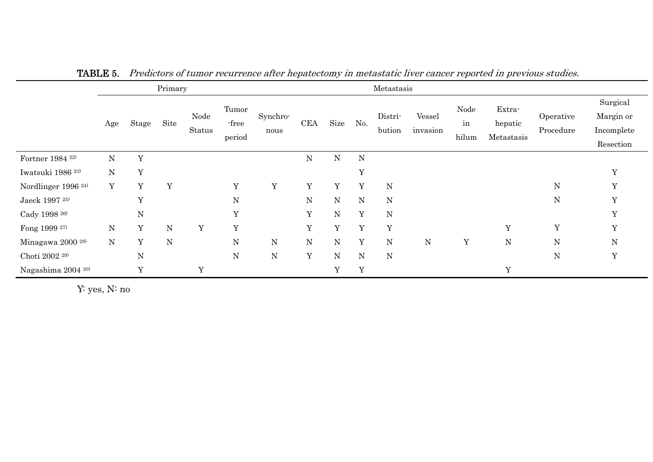|                                |             |              | Primary     |                |                          |                  | Metastasis  |             |     |                   |                    |                     |                                 |                        |                                                  |
|--------------------------------|-------------|--------------|-------------|----------------|--------------------------|------------------|-------------|-------------|-----|-------------------|--------------------|---------------------|---------------------------------|------------------------|--------------------------------------------------|
|                                | Age         | Stage        | Site        | Node<br>Status | Tumor<br>-free<br>period | Synchro-<br>nous | <b>CEA</b>  | Size        | No. | Distri-<br>bution | Vessel<br>invasion | Node<br>in<br>hilum | Extra-<br>hepatic<br>Metastasis | Operative<br>Procedure | Surgical<br>Margin or<br>Incomplete<br>Resection |
| Fortner 1984 <sup>22)</sup>    | $\mathbf N$ | Y            |             |                |                          |                  | ${\bf N}$   | ${\bf N}$   | N   |                   |                    |                     |                                 |                        |                                                  |
| Iwatsuki 1986 <sup>23)</sup>   | ${\bf N}$   | Y            |             |                |                          |                  |             |             | Y   |                   |                    |                     |                                 |                        | Y                                                |
| Nordlinger 1996 <sup>24)</sup> | Y           | Y            | Y           |                | Y                        | Y                | Y           | Y           | Y   | ${\bf N}$         |                    |                     |                                 | ${\rm N}$              | Y                                                |
| Jaeck 1997 <sup>25)</sup>      |             | $\mathbf{v}$ |             |                | ${\bf N}$                |                  | ${\bf N}$   | ${\bf N}$   | N   | ${\bf N}$         |                    |                     |                                 | ${\bf N}$              | $\mathbf{v}$                                     |
| Cady 1998 <sup>26)</sup>       |             | ${\bf N}$    |             |                | $\mathbf Y$              |                  | $\mathbf Y$ | ${\rm N}$   | Y   | ${\bf N}$         |                    |                     |                                 |                        | Y                                                |
| Fong 1999 27)                  | ${\bf N}$   | Y            | ${\bf N}$   | $\mathbf Y$    | Y                        |                  | Y           | $\mathbf Y$ | Y   | $\mathbf Y$       |                    |                     | Y                               | Y                      | $\overline{V}$                                   |
| Minagawa 2000 <sup>28)</sup>   | $\mathbf N$ | Y            | $\mathbf N$ |                | ${\bf N}$                | $\mathbf N$      | ${\bf N}$   | ${\rm N}$   | Y   | ${\bf N}$         | ${\bf N}$          | $\mathbf Y$         | ${\bf N}$                       | ${\rm N}$              | ${\bf N}$                                        |
| Choti 2002 <sup>29)</sup>      |             | ${\bf N}$    |             |                | ${\bf N}$                | ${\bf N}$        | Y           | ${\bf N}$   | N   | ${\bf N}$         |                    |                     |                                 | ${\bf N}$              | Y                                                |
| Nagashima 2004 30)             |             | Y            |             | Y              |                          |                  |             | Y           | Y   |                   |                    |                     | $\mathbf Y$                     |                        |                                                  |

TABLE 5. Predictors of tumor recurrence after hepatectomy in metastatic liver cancer reported in previous studies.

Y: yes, N: no